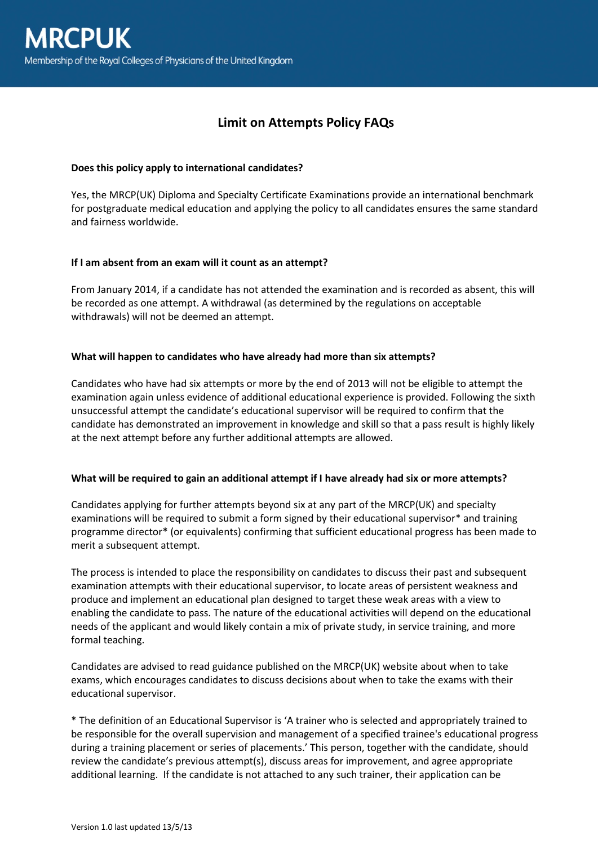# **Limit on Attempts Policy FAQs**

#### **Does this policy apply to international candidates?**

Yes, the MRCP(UK) Diploma and Specialty Certificate Examinations provide an international benchmark for postgraduate medical education and applying the policy to all candidates ensures the same standard and fairness worldwide.

### **If I am absent from an exam will it count as an attempt?**

From January 2014, if a candidate has not attended the examination and is recorded as absent, this will be recorded as one attempt. A withdrawal (as determined by the regulations on acceptable withdrawals) will not be deemed an attempt.

#### **What will happen to candidates who have already had more than six attempts?**

Candidates who have had six attempts or more by the end of 2013 will not be eligible to attempt the examination again unless evidence of additional educational experience is provided. Following the sixth unsuccessful attempt the candidate's educational supervisor will be required to confirm that the candidate has demonstrated an improvement in knowledge and skill so that a pass result is highly likely at the next attempt before any further additional attempts are allowed.

#### **What will be required to gain an additional attempt if I have already had six or more attempts?**

Candidates applying for further attempts beyond six at any part of the MRCP(UK) and specialty examinations will be required to submit a form signed by their educational supervisor\* and training programme director\* (or equivalents) confirming that sufficient educational progress has been made to merit a subsequent attempt.

The process is intended to place the responsibility on candidates to discuss their past and subsequent examination attempts with their educational supervisor, to locate areas of persistent weakness and produce and implement an educational plan designed to target these weak areas with a view to enabling the candidate to pass. The nature of the educational activities will depend on the educational needs of the applicant and would likely contain a mix of private study, in service training, and more formal teaching.

Candidates are advised to read guidance published on the MRCP(UK) website about when to take exams, which encourages candidates to discuss decisions about when to take the exams with their educational supervisor.

\* The definition of an Educational Supervisor is 'A trainer who is selected and appropriately trained to be responsible for the overall supervision and management of a specified trainee's educational progress during a training placement or series of placements.' This person, together with the candidate, should review the candidate's previous attempt(s), discuss areas for improvement, and agree appropriate additional learning. If the candidate is not attached to any such trainer, their application can be